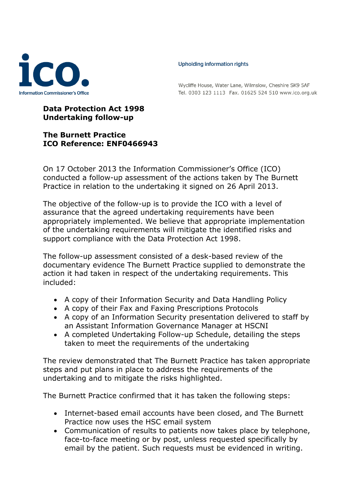

## Upholding information rights

Wycliffe House, Water Lane, Wilmslow, Cheshire SK9 5AF Tel. 0303 123 1113 Fax. 01625 524 510 www.ico.org.uk

## **Data Protection Act 1998 Undertaking follow-up**

## **The Burnett Practice ICO Reference: ENF0466943**

On 17 October 2013 the Information Commissioner's Office (ICO) conducted a follow-up assessment of the actions taken by The Burnett Practice in relation to the undertaking it signed on 26 April 2013.

The objective of the follow-up is to provide the ICO with a level of assurance that the agreed undertaking requirements have been appropriately implemented. We believe that appropriate implementation of the undertaking requirements will mitigate the identified risks and support compliance with the Data Protection Act 1998.

The follow-up assessment consisted of a desk-based review of the documentary evidence The Burnett Practice supplied to demonstrate the action it had taken in respect of the undertaking requirements. This included:

- A copy of their Information Security and Data Handling Policy
- A copy of their Fax and Faxing Prescriptions Protocols
- A copy of an Information Security presentation delivered to staff by an Assistant Information Governance Manager at HSCNI
- A completed Undertaking Follow-up Schedule, detailing the steps taken to meet the requirements of the undertaking

The review demonstrated that The Burnett Practice has taken appropriate steps and put plans in place to address the requirements of the undertaking and to mitigate the risks highlighted.

The Burnett Practice confirmed that it has taken the following steps:

- Internet-based email accounts have been closed, and The Burnett Practice now uses the HSC email system
- Communication of results to patients now takes place by telephone, face-to-face meeting or by post, unless requested specifically by email by the patient. Such requests must be evidenced in writing.